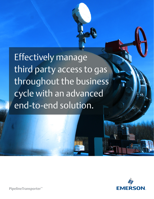Effectively manage third party access to gas throughout the business cycle with an advanced end-to-end solution.



**PipelineTransporter**™